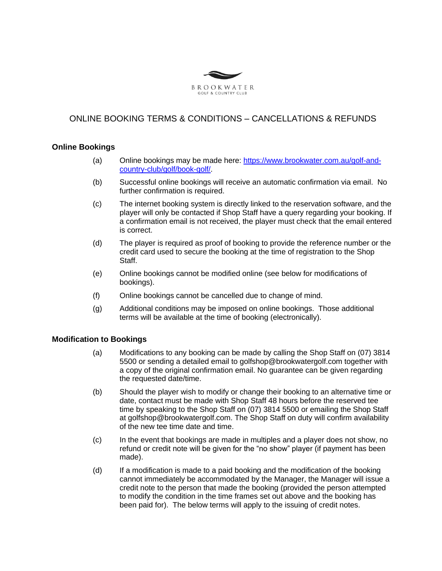

## ONLINE BOOKING TERMS & CONDITIONS – CANCELLATIONS & REFUNDS

## **Online Bookings**

- (a) Online bookings may be made here: [https://www.brookwater.com.au/golf-and](https://www.brookwater.com.au/golf-and-country-club/golf/book-golf/)[country-club/golf/book-golf/.](https://www.brookwater.com.au/golf-and-country-club/golf/book-golf/)
- (b) Successful online bookings will receive an automatic confirmation via email. No further confirmation is required.
- (c) The internet booking system is directly linked to the reservation software, and the player will only be contacted if Shop Staff have a query regarding your booking. If a confirmation email is not received, the player must check that the email entered is correct.
- (d) The player is required as proof of booking to provide the reference number or the credit card used to secure the booking at the time of registration to the Shop Staff.
- (e) Online bookings cannot be modified online (see below for modifications of bookings).
- (f) Online bookings cannot be cancelled due to change of mind.
- (g) Additional conditions may be imposed on online bookings. Those additional terms will be available at the time of booking (electronically).

## **Modification to Bookings**

- (a) Modifications to any booking can be made by calling the Shop Staff on (07) 3814 5500 or sending a detailed email to golfshop@brookwatergolf.com together with a copy of the original confirmation email. No guarantee can be given regarding the requested date/time.
- (b) Should the player wish to modify or change their booking to an alternative time or date, contact must be made with Shop Staff 48 hours before the reserved tee time by speaking to the Shop Staff on (07) 3814 5500 or emailing the Shop Staff at golfshop@brookwatergolf.com. The Shop Staff on duty will confirm availability of the new tee time date and time.
- (c) In the event that bookings are made in multiples and a player does not show, no refund or credit note will be given for the "no show" player (if payment has been made).
- (d) If a modification is made to a paid booking and the modification of the booking cannot immediately be accommodated by the Manager, the Manager will issue a credit note to the person that made the booking (provided the person attempted to modify the condition in the time frames set out above and the booking has been paid for). The below terms will apply to the issuing of credit notes.